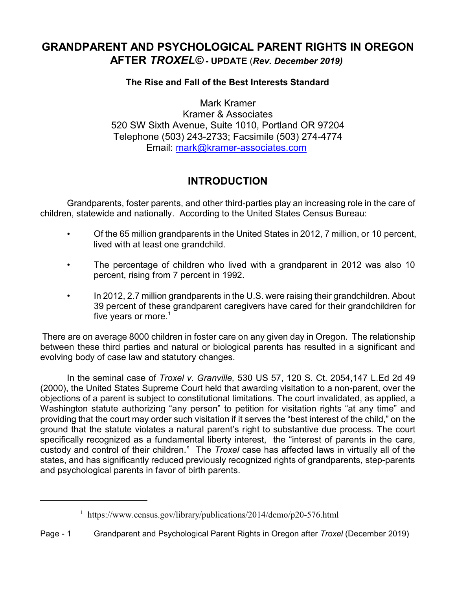# **GRANDPARENT AND PSYCHOLOGICAL PARENT RIGHTS IN OREGON AFTER** *TROXEL©* **- UPDATE** (*Rev. December 2019)*

#### **The Rise and Fall of the Best Interests Standard**

Mark Kramer Kramer & Associates 520 SW Sixth Avenue, Suite 1010, Portland OR 97204 Telephone (503) 243-2733; Facsimile (503) 274-4774 Email: [mark@kramer-associates.com](mailto:mark@kramer-associates.com)

## **INTRODUCTION**

Grandparents, foster parents, and other third-parties play an increasing role in the care of children, statewide and nationally. According to the United States Census Bureau:

- Of the 65 million grandparents in the United States in 2012, 7 million, or 10 percent, lived with at least one grandchild.
- The percentage of children who lived with a grandparent in 2012 was also 10 percent, rising from 7 percent in 1992.
- In 2012, 2.7 million grandparents in the U.S. were raising their grandchildren. About 39 percent of these grandparent caregivers have cared for their grandchildren for five years or more. $1$

There are on average 8000 children in foster care on any given day in Oregon. The relationship between these third parties and natural or biological parents has resulted in a significant and evolving body of case law and statutory changes.

In the seminal case of *Troxel v. Granville,* 530 US 57, 120 S. Ct. 2054,147 L.Ed 2d 49 (2000), the United States Supreme Court held that awarding visitation to a non-parent, over the objections of a parent is subject to constitutional limitations. The court invalidated, as applied, a Washington statute authorizing "any person" to petition for visitation rights "at any time" and providing that the court may order such visitation if it serves the "best interest of the child," on the ground that the statute violates a natural parent's right to substantive due process. The court specifically recognized as a fundamental liberty interest, the "interest of parents in the care, custody and control of their children." The *Troxel* case has affected laws in virtually all of the states, and has significantly reduced previously recognized rights of grandparents, step-parents and psychological parents in favor of birth parents.

<sup>&</sup>lt;sup>1</sup> https://www.census.gov/library/publications/2014/demo/p20-576.html

Page - 1 Grandparent and Psychological Parent Rights in Oregon after *Troxel* (December 2019)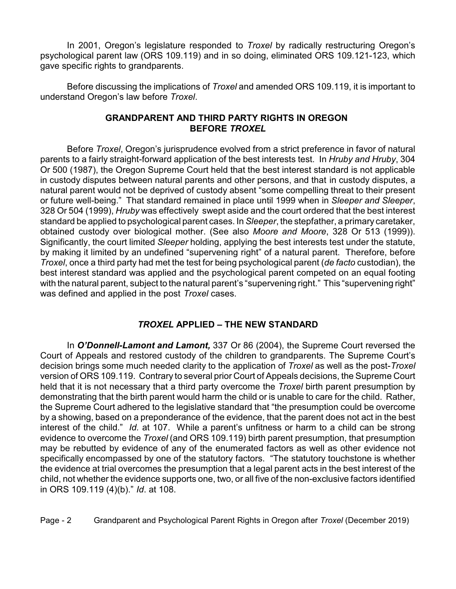In 2001, Oregon's legislature responded to *Troxel* by radically restructuring Oregon's psychological parent law (ORS 109.119) and in so doing, eliminated ORS 109.121-123, which gave specific rights to grandparents.

Before discussing the implications of *Troxel* and amended ORS 109.119, it is important to understand Oregon's law before *Troxel*.

#### **GRANDPARENT AND THIRD PARTY RIGHTS IN OREGON BEFORE** *TROXEL*

Before *Troxel*, Oregon's jurisprudence evolved from a strict preference in favor of natural parents to a fairly straight-forward application of the best interests test. In *Hruby and Hruby*, 304 Or 500 (1987), the Oregon Supreme Court held that the best interest standard is not applicable in custody disputes between natural parents and other persons, and that in custody disputes, a natural parent would not be deprived of custody absent "some compelling threat to their present or future well-being." That standard remained in place until 1999 when in *Sleeper and Sleeper*, 328 Or 504 (1999), *Hruby* was effectively swept aside and the court ordered that the best interest standard be applied to psychological parent cases. In *Sleeper*, the stepfather, a primary caretaker, obtained custody over biological mother. (See also *Moore and Moore*, 328 Or 513 (1999)). Significantly, the court limited *Sleeper* holding, applying the best interests test under the statute, by making it limited by an undefined "supervening right" of a natural parent. Therefore, before *Troxel*, once a third party had met the test for being psychological parent (*de facto* custodian), the best interest standard was applied and the psychological parent competed on an equal footing with the natural parent, subject to the natural parent's "supervening right." This "supervening right" was defined and applied in the post *Troxel* cases.

## *TROXEL* **APPLIED – THE NEW STANDARD**

In *O'Donnell-Lamont and Lamont,* 337 Or 86 (2004), the Supreme Court reversed the Court of Appeals and restored custody of the children to grandparents. The Supreme Court's decision brings some much needed clarity to the application of *Troxel* as well as the post-*Troxel* version of ORS 109.119. Contrary to several prior Court of Appeals decisions, the Supreme Court held that it is not necessary that a third party overcome the *Troxel* birth parent presumption by demonstrating that the birth parent would harm the child or is unable to care for the child. Rather, the Supreme Court adhered to the legislative standard that "the presumption could be overcome by a showing, based on a preponderance of the evidence, that the parent does not act in the best interest of the child." *Id.* at 107. While a parent's unfitness or harm to a child can be strong evidence to overcome the *Troxel* (and ORS 109.119) birth parent presumption, that presumption may be rebutted by evidence of any of the enumerated factors as well as other evidence not specifically encompassed by one of the statutory factors. "The statutory touchstone is whether the evidence at trial overcomes the presumption that a legal parent acts in the best interest of the child, not whether the evidence supports one, two, or all five of the non-exclusive factors identified in ORS 109.119 (4)(b)." *Id*. at 108.

Page - 2 Grandparent and Psychological Parent Rights in Oregon after *Troxel* (December 2019)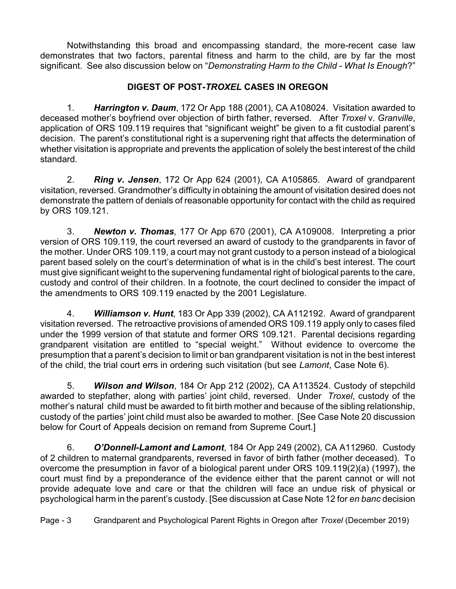Notwithstanding this broad and encompassing standard, the more-recent case law demonstrates that two factors, parental fitness and harm to the child, are by far the most significant. See also discussion below on "*Demonstrating Harm to the Child - What Is Enough*?"

## **DIGEST OF POST-***TROXEL* **CASES IN OREGON**

1. *Harrington v. Daum*, 172 Or App 188 (2001), CA A108024. Visitation awarded to deceased mother's boyfriend over objection of birth father, reversed. After *Troxel* v. *Granville*, application of ORS 109.119 requires that "significant weight" be given to a fit custodial parent's decision. The parent's constitutional right is a supervening right that affects the determination of whether visitation is appropriate and prevents the application of solely the best interest of the child standard.

2. *Ring v. Jensen*, 172 Or App 624 (2001), CA A105865. Award of grandparent visitation, reversed. Grandmother's difficulty in obtaining the amount of visitation desired does not demonstrate the pattern of denials of reasonable opportunity for contact with the child as required by ORS 109.121.

3. *Newton v. Thomas,* 177 Or App 670 (2001), CA A109008. Interpreting a prior version of ORS 109.119, the court reversed an award of custody to the grandparents in favor of the mother. Under ORS 109.119, a court may not grant custody to a person instead of a biological parent based solely on the court's determination of what is in the child's best interest. The court must give significant weight to the supervening fundamental right of biological parents to the care, custody and control of their children. In a footnote, the court declined to consider the impact of the amendments to ORS 109.119 enacted by the 2001 Legislature.

4. *Williamson v. Hunt*, 183 Or App 339 (2002), CA A112192. Award of grandparent visitation reversed. The retroactive provisions of amended ORS 109.119 apply only to cases filed under the 1999 version of that statute and former ORS 109.121. Parental decisions regarding grandparent visitation are entitled to "special weight." Without evidence to overcome the presumption that a parent's decision to limit or ban grandparent visitation is not in the best interest of the child, the trial court errs in ordering such visitation (but see *Lamont*, Case Note 6).

5. *Wilson and Wilson*, 184 Or App 212 (2002), CA A113524. Custody of stepchild awarded to stepfather, along with parties' joint child, reversed. Under *Troxel*, custody of the mother's natural child must be awarded to fit birth mother and because of the sibling relationship, custody of the parties' joint child must also be awarded to mother. [See Case Note 20 discussion below for Court of Appeals decision on remand from Supreme Court.]

6. *O'Donnell-Lamont and Lamont*, 184 Or App 249 (2002), CA A112960. Custody of 2 children to maternal grandparents, reversed in favor of birth father (mother deceased). To overcome the presumption in favor of a biological parent under ORS 109.119(2)(a) (1997), the court must find by a preponderance of the evidence either that the parent cannot or will not provide adequate love and care or that the children will face an undue risk of physical or psychological harm in the parent's custody. [See discussion at Case Note 12 for *en banc* decision

Page - 3 Grandparent and Psychological Parent Rights in Oregon after *Troxel* (December 2019)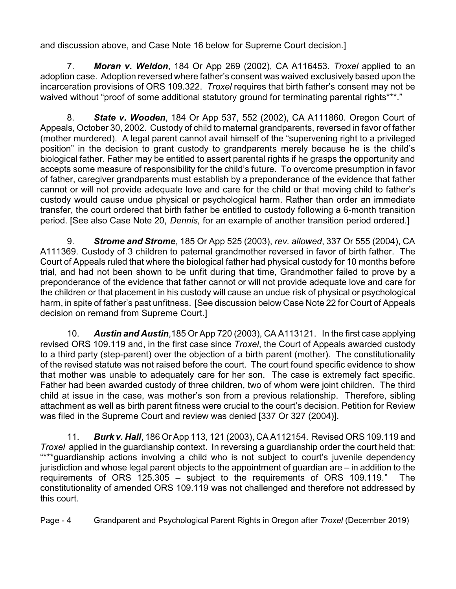and discussion above, and Case Note 16 below for Supreme Court decision.]

7. *Moran v. Weldon*, 184 Or App 269 (2002), CA A116453. *Troxel* applied to an adoption case. Adoption reversed where father's consent was waived exclusively based upon the incarceration provisions of ORS 109.322. *Troxel* requires that birth father's consent may not be waived without "proof of some additional statutory ground for terminating parental rights\*\*\*."

8. *State v. Wooden*, 184 Or App 537, 552 (2002), CA A111860. Oregon Court of Appeals, October 30, 2002. Custody of child to maternal grandparents, reversed in favor of father (mother murdered). A legal parent cannot avail himself of the "supervening right to a privileged position" in the decision to grant custody to grandparents merely because he is the child's biological father. Father may be entitled to assert parental rights if he grasps the opportunity and accepts some measure of responsibility for the child's future. To overcome presumption in favor of father, caregiver grandparents must establish by a preponderance of the evidence that father cannot or will not provide adequate love and care for the child or that moving child to father's custody would cause undue physical or psychological harm. Rather than order an immediate transfer, the court ordered that birth father be entitled to custody following a 6-month transition period. [See also Case Note 20, *Dennis,* for an example of another transition period ordered.]

9. *Strome and Strome*, 185 Or App 525 (2003), *rev. allowed*, 337 Or 555 (2004), CA A111369. Custody of 3 children to paternal grandmother reversed in favor of birth father. The Court of Appeals ruled that where the biological father had physical custody for 10 months before trial, and had not been shown to be unfit during that time, Grandmother failed to prove by a preponderance of the evidence that father cannot or will not provide adequate love and care for the children or that placement in his custody will cause an undue risk of physical or psychological harm, in spite of father's past unfitness. [See discussion below Case Note 22 for Court of Appeals decision on remand from Supreme Court.]

10. *Austin and Austin*,185 Or App 720 (2003), CA A113121. In the first case applying revised ORS 109.119 and, in the first case since *Troxel*, the Court of Appeals awarded custody to a third party (step-parent) over the objection of a birth parent (mother). The constitutionality of the revised statute was not raised before the court. The court found specific evidence to show that mother was unable to adequately care for her son. The case is extremely fact specific. Father had been awarded custody of three children, two of whom were joint children. The third child at issue in the case, was mother's son from a previous relationship. Therefore, sibling attachment as well as birth parent fitness were crucial to the court's decision. Petition for Review was filed in the Supreme Court and review was denied [337 Or 327 (2004)].

11. *Burk v. Hall*, 186 Or App 113, 121 (2003), CA A112154. Revised ORS 109.119 and *Troxel* applied in the guardianship context. In reversing a guardianship order the court held that: "\*\*\*guardianship actions involving a child who is not subject to court's juvenile dependency jurisdiction and whose legal parent objects to the appointment of guardian are – in addition to the requirements of ORS 125.305 – subject to the requirements of ORS 109.119." The constitutionality of amended ORS 109.119 was not challenged and therefore not addressed by this court.

Page - 4 Grandparent and Psychological Parent Rights in Oregon after *Troxel* (December 2019)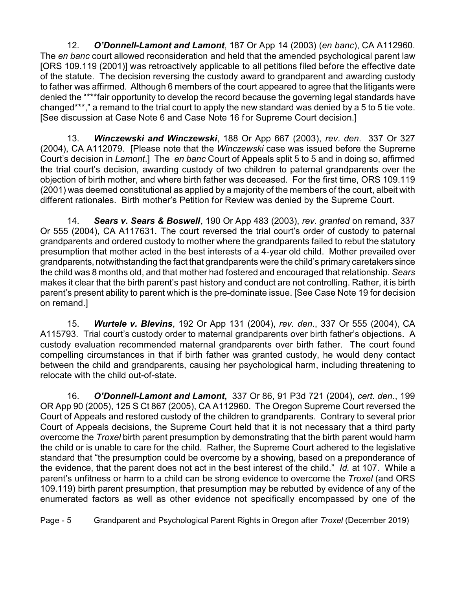12. *O'Donnell-Lamont and Lamont*, 187 Or App 14 (2003) (*en banc*), CA A112960. The *en banc* court allowed reconsideration and held that the amended psychological parent law [ORS 109.119 (2001)] was retroactively applicable to all petitions filed before the effective date of the statute. The decision reversing the custody award to grandparent and awarding custody to father was affirmed. Although 6 members of the court appeared to agree that the litigants were denied the "\*\*\*fair opportunity to develop the record because the governing legal standards have changed\*\*\*," a remand to the trial court to apply the new standard was denied by a 5 to 5 tie vote. [See discussion at Case Note 6 and Case Note 16 for Supreme Court decision.]

13. *Winczewski and Winczewski*, 188 Or App 667 (2003), *rev. den*. 337 Or 327 (2004), CA A112079. [Please note that the *Winczewski* case was issued before the Supreme Court's decision in *Lamont*.] The *en banc* Court of Appeals split 5 to 5 and in doing so, affirmed the trial court's decision, awarding custody of two children to paternal grandparents over the objection of birth mother, and where birth father was deceased. For the first time, ORS 109.119 (2001) was deemed constitutional as applied by a majority of the members of the court, albeit with different rationales. Birth mother's Petition for Review was denied by the Supreme Court.

14. *Sears v. Sears & Boswell*, 190 Or App 483 (2003), *rev. granted* on remand, 337 Or 555 (2004), CA A117631. The court reversed the trial court's order of custody to paternal grandparents and ordered custody to mother where the grandparents failed to rebut the statutory presumption that mother acted in the best interests of a 4-year old child. Mother prevailed over grandparents, notwithstanding the fact that grandparents were the child's primary caretakers since the child was 8 months old, and that mother had fostered and encouraged that relationship. *Sears* makes it clear that the birth parent's past history and conduct are not controlling. Rather, it is birth parent's present ability to parent which is the pre-dominate issue. [See Case Note 19 for decision on remand.]

15. *Wurtele v. Blevins*, 192 Or App 131 (2004), *rev. den*., 337 Or 555 (2004), CA A115793. Trial court's custody order to maternal grandparents over birth father's objections. A custody evaluation recommended maternal grandparents over birth father. The court found compelling circumstances in that if birth father was granted custody, he would deny contact between the child and grandparents, causing her psychological harm, including threatening to relocate with the child out-of-state.

16. *O'Donnell-Lamont and Lamont***,** 337 Or 86, 91 P3d 721 (2004), *cert. den*., 199 OR App 90 (2005), 125 S Ct 867 (2005), CA A112960. The Oregon Supreme Court reversed the Court of Appeals and restored custody of the children to grandparents. Contrary to several prior Court of Appeals decisions, the Supreme Court held that it is not necessary that a third party overcome the *Troxel* birth parent presumption by demonstrating that the birth parent would harm the child or is unable to care for the child. Rather, the Supreme Court adhered to the legislative standard that "the presumption could be overcome by a showing, based on a preponderance of the evidence, that the parent does not act in the best interest of the child." *Id.* at 107. While a parent's unfitness or harm to a child can be strong evidence to overcome the *Troxel* (and ORS 109.119) birth parent presumption, that presumption may be rebutted by evidence of any of the enumerated factors as well as other evidence not specifically encompassed by one of the

Page - 5 Grandparent and Psychological Parent Rights in Oregon after *Troxel* (December 2019)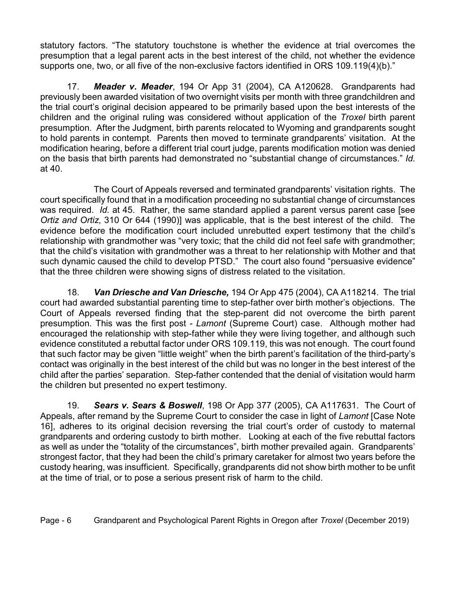statutory factors. "The statutory touchstone is whether the evidence at trial overcomes the presumption that a legal parent acts in the best interest of the child, not whether the evidence supports one, two, or all five of the non-exclusive factors identified in ORS 109.119(4)(b)."

17. *Meader v. Meader*, 194 Or App 31 (2004), CA A120628. Grandparents had previously been awarded visitation of two overnight visits per month with three grandchildren and the trial court's original decision appeared to be primarily based upon the best interests of the children and the original ruling was considered without application of the *Troxel* birth parent presumption. After the Judgment, birth parents relocated to Wyoming and grandparents sought to hold parents in contempt. Parents then moved to terminate grandparents' visitation. At the modification hearing, before a different trial court judge, parents modification motion was denied on the basis that birth parents had demonstrated no "substantial change of circumstances." *Id.* at 40.

The Court of Appeals reversed and terminated grandparents' visitation rights. The court specifically found that in a modification proceeding no substantial change of circumstances was required. *Id.* at 45. Rather, the same standard applied a parent versus parent case [see *Ortiz and Ortiz*, 310 Or 644 (1990)] was applicable, that is the best interest of the child. The evidence before the modification court included unrebutted expert testimony that the child's relationship with grandmother was "very toxic; that the child did not feel safe with grandmother; that the child's visitation with grandmother was a threat to her relationship with Mother and that such dynamic caused the child to develop PTSD." The court also found "persuasive evidence" that the three children were showing signs of distress related to the visitation.

18. *Van Driesche and Van Driesche,* 194 Or App 475 (2004), CA A118214. The trial court had awarded substantial parenting time to step-father over birth mother's objections. The Court of Appeals reversed finding that the step-parent did not overcome the birth parent presumption. This was the first post - *Lamont* (Supreme Court) case. Although mother had encouraged the relationship with step-father while they were living together, and although such evidence constituted a rebuttal factor under ORS 109.119, this was not enough. The court found that such factor may be given "little weight" when the birth parent's facilitation of the third-party's contact was originally in the best interest of the child but was no longer in the best interest of the child after the parties' separation. Step-father contended that the denial of visitation would harm the children but presented no expert testimony.

19. *Sears v. Sears & Boswell*, 198 Or App 377 (2005), CA A117631. The Court of Appeals, after remand by the Supreme Court to consider the case in light of *Lamont* [Case Note 16], adheres to its original decision reversing the trial court's order of custody to maternal grandparents and ordering custody to birth mother. Looking at each of the five rebuttal factors as well as under the "totality of the circumstances", birth mother prevailed again. Grandparents' strongest factor, that they had been the child's primary caretaker for almost two years before the custody hearing, was insufficient. Specifically, grandparents did not show birth mother to be unfit at the time of trial, or to pose a serious present risk of harm to the child.

Page - 6 Grandparent and Psychological Parent Rights in Oregon after *Troxel* (December 2019)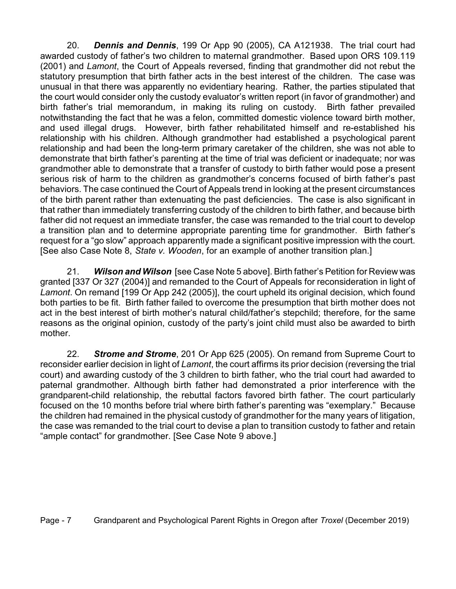20. *Dennis and Dennis*, 199 Or App 90 (2005), CA A121938. The trial court had awarded custody of father's two children to maternal grandmother. Based upon ORS 109.119 (2001) and *Lamont*, the Court of Appeals reversed, finding that grandmother did not rebut the statutory presumption that birth father acts in the best interest of the children. The case was unusual in that there was apparently no evidentiary hearing. Rather, the parties stipulated that the court would consider only the custody evaluator's written report (in favor of grandmother) and birth father's trial memorandum, in making its ruling on custody. Birth father prevailed notwithstanding the fact that he was a felon, committed domestic violence toward birth mother, and used illegal drugs. However, birth father rehabilitated himself and re-established his relationship with his children. Although grandmother had established a psychological parent relationship and had been the long-term primary caretaker of the children, she was not able to demonstrate that birth father's parenting at the time of trial was deficient or inadequate; nor was grandmother able to demonstrate that a transfer of custody to birth father would pose a present serious risk of harm to the children as grandmother's concerns focused of birth father's past behaviors. The case continued the Court of Appeals trend in looking at the present circumstances of the birth parent rather than extenuating the past deficiencies. The case is also significant in that rather than immediately transferring custody of the children to birth father, and because birth father did not request an immediate transfer, the case was remanded to the trial court to develop a transition plan and to determine appropriate parenting time for grandmother. Birth father's request for a "go slow" approach apparently made a significant positive impression with the court. [See also Case Note 8, *State v. Wooden*, for an example of another transition plan.]

21. *Wilson and Wilson* [see Case Note 5 above]. Birth father's Petition for Review was granted [337 Or 327 (2004)] and remanded to the Court of Appeals for reconsideration in light of *Lamont*. On remand [199 Or App 242 (2005)], the court upheld its original decision, which found both parties to be fit. Birth father failed to overcome the presumption that birth mother does not act in the best interest of birth mother's natural child/father's stepchild; therefore, for the same reasons as the original opinion, custody of the party's joint child must also be awarded to birth mother.

22. *Strome and Strome*, 201 Or App 625 (2005). On remand from Supreme Court to reconsider earlier decision in light of *Lamont*, the court affirms its prior decision (reversing the trial court) and awarding custody of the 3 children to birth father, who the trial court had awarded to paternal grandmother. Although birth father had demonstrated a prior interference with the grandparent-child relationship, the rebuttal factors favored birth father. The court particularly focused on the 10 months before trial where birth father's parenting was "exemplary." Because the children had remained in the physical custody of grandmother for the many years of litigation, the case was remanded to the trial court to devise a plan to transition custody to father and retain "ample contact" for grandmother. [See Case Note 9 above.]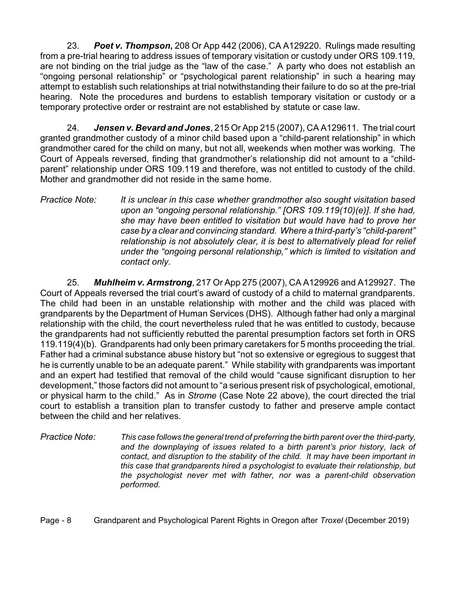23. *Poet v. Thompson***,** 208 Or App 442 (2006), CA A129220. Rulings made resulting from a pre-trial hearing to address issues of temporary visitation or custody under ORS 109.119, are not binding on the trial judge as the "law of the case." A party who does not establish an "ongoing personal relationship" or "psychological parent relationship" in such a hearing may attempt to establish such relationships at trial notwithstanding their failure to do so at the pre-trial hearing. Note the procedures and burdens to establish temporary visitation or custody or a temporary protective order or restraint are not established by statute or case law.

24. *Jensen v. Bevard and Jones*, 215 Or App 215 (2007), CA A129611. The trial court granted grandmother custody of a minor child based upon a "child-parent relationship" in which grandmother cared for the child on many, but not all, weekends when mother was working. The Court of Appeals reversed, finding that grandmother's relationship did not amount to a "childparent" relationship under ORS 109.119 and therefore, was not entitled to custody of the child. Mother and grandmother did not reside in the same home.

*Practice Note: It is unclear in this case whether grandmother also sought visitation based upon an "ongoing personal relationship." [ORS 109.119(10)(e)]. If she had, she may have been entitled to visitation but would have had to prove her case by a clear and convincing standard. Where a third-party's "child-parent" relationship is not absolutely clear, it is best to alternatively plead for relief under the "ongoing personal relationship," which is limited to visitation and contact only.*

25. *Muhlheim v. Armstrong*, 217 Or App 275 (2007), CA A129926 and A129927. The Court of Appeals reversed the trial court's award of custody of a child to maternal grandparents. The child had been in an unstable relationship with mother and the child was placed with grandparents by the Department of Human Services (DHS). Although father had only a marginal relationship with the child, the court nevertheless ruled that he was entitled to custody, because the grandparents had not sufficiently rebutted the parental presumption factors set forth in ORS 119.119(4)(b). Grandparents had only been primary caretakers for 5 months proceeding the trial. Father had a criminal substance abuse history but "not so extensive or egregious to suggest that he is currently unable to be an adequate parent." While stability with grandparents was important and an expert had testified that removal of the child would "cause significant disruption to her development," those factors did not amount to "a serious present risk of psychological, emotional, or physical harm to the child." As in *Strome* (Case Note 22 above), the court directed the trial court to establish a transition plan to transfer custody to father and preserve ample contact between the child and her relatives.

*Practice Note: This case follows the general trend of preferring the birth parent over the third-party, and the downplaying of issues related to a birth parent's prior history, lack of contact, and disruption to the stability of the child. It may have been important in this case that grandparents hired a psychologist to evaluate their relationship, but the psychologist never met with father, nor was a parent-child observation performed.*

Page - 8 Grandparent and Psychological Parent Rights in Oregon after *Troxel* (December 2019)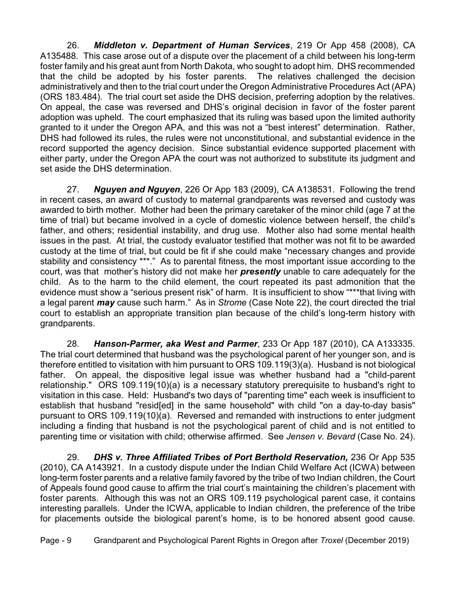26. *Middleton v. Department of Human Services*, 219 Or App 458 (2008), CA A135488. This case arose out of a dispute over the placement of a child between his long-term foster family and his great aunt from North Dakota, who sought to adopt him. DHS recommended that the child be adopted by his foster parents. The relatives challenged the decision administratively and then to the trial court under the Oregon Administrative Procedures Act (APA) (ORS 183.484). The trial court set aside the DHS decision, preferring adoption by the relatives. On appeal, the case was reversed and DHS's original decision in favor of the foster parent adoption was upheld. The court emphasized that its ruling was based upon the limited authority granted to it under the Oregon APA, and this was not a "best interest" determination. Rather, DHS had followed its rules, the rules were not unconstitutional, and substantial evidence in the record supported the agency decision. Since substantial evidence supported placement with either party, under the Oregon APA the court was not authorized to substitute its judgment and set aside the DHS determination.

27. *Nguyen and Nguyen*, 226 Or App 183 (2009), CA A138531. Following the trend in recent cases, an award of custody to maternal grandparents was reversed and custody was awarded to birth mother. Mother had been the primary caretaker of the minor child (age 7 at the time of trial) but became involved in a cycle of domestic violence between herself, the child's father, and others; residential instability, and drug use. Mother also had some mental health issues in the past. At trial, the custody evaluator testified that mother was not fit to be awarded custody at the time of trial, but could be fit if she could make "necessary changes and provide stability and consistency \*\*\*." As to parental fitness, the most important issue according to the court, was that mother's history did not make her *presently* unable to care adequately for the child. As to the harm to the child element, the court repeated its past admonition that the evidence must show a "serious present risk" of harm. It is insufficient to show "\*\*\*that living with a legal parent *may* cause such harm." As in *Strome* (Case Note 22), the court directed the trial court to establish an appropriate transition plan because of the child's long-term history with grandparents.

28. *Hanson-Parmer, aka West and Parmer*, 233 Or App 187 (2010), CA A133335. The trial court determined that husband was the psychological parent of her younger son, and is therefore entitled to visitation with him pursuant to ORS 109.119(3)(a). Husband is not biological father. On appeal, the dispositive legal issue was whether husband had a "child-parent relationship." ORS 109.119(10)(a) is a necessary statutory prerequisite to husband's right to visitation in this case. Held: Husband's two days of "parenting time" each week is insufficient to establish that husband "resid[ed] in the same household" with child "on a day-to-day basis" pursuant to ORS 109.119(10)(a). Reversed and remanded with instructions to enter judgment including a finding that husband is not the psychological parent of child and is not entitled to parenting time or visitation with child; otherwise affirmed. See *Jensen v. Bevard* (Case No. 24).

29. *DHS v. Three Affiliated Tribes of Port Berthold Reservation,* 236 Or App 535 (2010), CA A143921. In a custody dispute under the Indian Child Welfare Act (ICWA) between long-term foster parents and a relative family favored by the tribe of two Indian children, the Court of Appeals found good cause to affirm the trial court's maintaining the children's placement with foster parents. Although this was not an ORS 109.119 psychological parent case, it contains interesting parallels. Under the ICWA, applicable to Indian children, the preference of the tribe for placements outside the biological parent's home, is to be honored absent good cause.

Page - 9 Grandparent and Psychological Parent Rights in Oregon after *Troxel* (December 2019)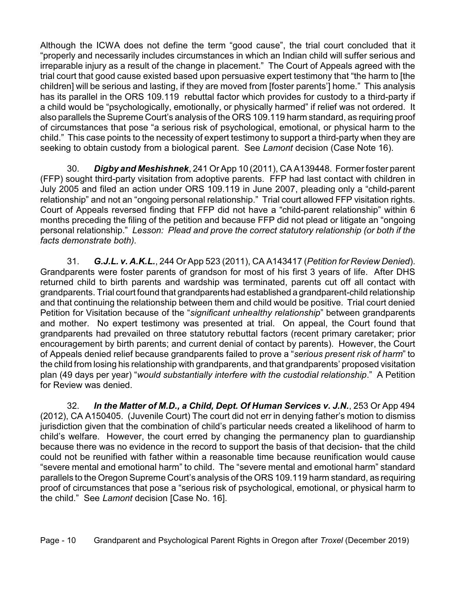Although the ICWA does not define the term "good cause", the trial court concluded that it "properly and necessarily includes circumstances in which an Indian child will suffer serious and irreparable injury as a result of the change in placement." The Court of Appeals agreed with the trial court that good cause existed based upon persuasive expert testimony that "the harm to [the children] will be serious and lasting, if they are moved from [foster parents'] home." This analysis has its parallel in the ORS 109.119 rebuttal factor which provides for custody to a third-party if a child would be "psychologically, emotionally, or physically harmed" if relief was not ordered. It also parallels the Supreme Court's analysis of the ORS 109.119 harm standard, as requiring proof of circumstances that pose "a serious risk of psychological, emotional, or physical harm to the child." This case points to the necessity of expert testimony to support a third-party when they are seeking to obtain custody from a biological parent. See *Lamont* decision (Case Note 16).

30. *Digby and Meshishnek*, 241 Or App 10 (2011), CA A139448. Former foster parent (FFP) sought third-party visitation from adoptive parents. FFP had last contact with children in July 2005 and filed an action under ORS 109.119 in June 2007, pleading only a "child-parent relationship" and not an "ongoing personal relationship." Trial court allowed FFP visitation rights. Court of Appeals reversed finding that FFP did not have a "child-parent relationship" within 6 months preceding the filing of the petition and because FFP did not plead or litigate an "ongoing personal relationship." *Lesson: Plead and prove the correct statutory relationship (or both if the facts demonstrate both).* 

31. *G.J.L. v. A.K.L.*, 244 Or App 523 (2011), CA A143417 (*Petition for Review Denied*). Grandparents were foster parents of grandson for most of his first 3 years of life. After DHS returned child to birth parents and wardship was terminated, parents cut off all contact with grandparents. Trial court found that grandparents had established a grandparent-child relationship and that continuing the relationship between them and child would be positive. Trial court denied Petition for Visitation because of the "*significant unhealthy relationship*" between grandparents and mother. No expert testimony was presented at trial. On appeal, the Court found that grandparents had prevailed on three statutory rebuttal factors (recent primary caretaker; prior encouragement by birth parents; and current denial of contact by parents). However, the Court of Appeals denied relief because grandparents failed to prove a "*serious present risk of harm*" to the child from losing his relationship with grandparents, and that grandparents' proposed visitation plan (49 days per year) "*would substantially interfere with the custodial relationship*." A Petition for Review was denied.

32. *In the Matter of M.D., a Child, Dept. Of Human Services v. J.N.*, 253 Or App 494 (2012), CA A150405. (Juvenile Court) The court did not err in denying father's motion to dismiss jurisdiction given that the combination of child's particular needs created a likelihood of harm to child's welfare. However, the court erred by changing the permanency plan to guardianship because there was no evidence in the record to support the basis of that decision- that the child could not be reunified with father within a reasonable time because reunification would cause "severe mental and emotional harm" to child. The "severe mental and emotional harm" standard parallels to the Oregon Supreme Court's analysis of the ORS 109.119 harm standard, as requiring proof of circumstances that pose a "serious risk of psychological, emotional, or physical harm to the child." See *Lamont* decision [Case No. 16].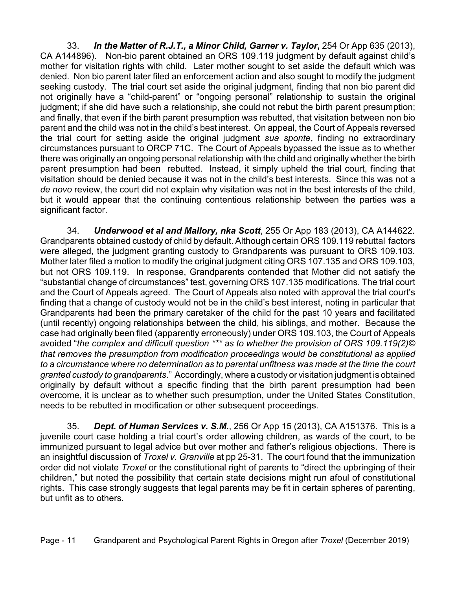33. *In the Matter of R.J.T., a Minor Child, Garner v. Taylor***,** 254 Or App 635 (2013), CA A144896). Non-bio parent obtained an ORS 109.119 judgment by default against child's mother for visitation rights with child. Later mother sought to set aside the default which was denied. Non bio parent later filed an enforcement action and also sought to modify the judgment seeking custody. The trial court set aside the original judgment, finding that non bio parent did not originally have a "child-parent" or "ongoing personal" relationship to sustain the original judgment; if she did have such a relationship, she could not rebut the birth parent presumption; and finally, that even if the birth parent presumption was rebutted, that visitation between non bio parent and the child was not in the child's best interest. On appeal, the Court of Appeals reversed the trial court for setting aside the original judgment *sua sponte*, finding no extraordinary circumstances pursuant to ORCP 71C. The Court of Appeals bypassed the issue as to whether there was originally an ongoing personal relationship with the child and originally whether the birth parent presumption had been rebutted. Instead, it simply upheld the trial court, finding that visitation should be denied because it was not in the child's best interests. Since this was not a *de novo* review, the court did not explain why visitation was not in the best interests of the child, but it would appear that the continuing contentious relationship between the parties was a significant factor.

34. *Underwood et al and Mallory, nka Scott*, 255 Or App 183 (2013), CA A144622. Grandparents obtained custody of child by default. Although certain ORS 109.119 rebuttal factors were alleged, the judgment granting custody to Grandparents was pursuant to ORS 109.103. Mother later filed a motion to modify the original judgment citing ORS 107.135 and ORS 109.103, but not ORS 109.119. In response, Grandparents contended that Mother did not satisfy the "substantial change of circumstances" test, governing ORS 107.135 modifications. The trial court and the Court of Appeals agreed. The Court of Appeals also noted with approval the trial court's finding that a change of custody would not be in the child's best interest, noting in particular that Grandparents had been the primary caretaker of the child for the past 10 years and facilitated (until recently) ongoing relationships between the child, his siblings, and mother. Because the case had originally been filed (apparently erroneously) under ORS 109.103, the Court of Appeals avoided "*the complex and difficult question \*\*\* as to whether the provision of ORS 109.119(2)© that removes the presumption from modification proceedings would be constitutional as applied to a circumstance where no determination as to parental unfitness was made at the time the court granted custody to grandparents*." Accordingly, where a custody or visitation judgment is obtained originally by default without a specific finding that the birth parent presumption had been overcome, it is unclear as to whether such presumption, under the United States Constitution, needs to be rebutted in modification or other subsequent proceedings.

35. *Dept. of Human Services v. S.M.*, 256 Or App 15 (2013), CA A151376. This is a juvenile court case holding a trial court's order allowing children, as wards of the court, to be immunized pursuant to legal advice but over mother and father's religious objections. There is an insightful discussion of *Troxel v. Granville* at pp 25-31. The court found that the immunization order did not violate *Troxel* or the constitutional right of parents to "direct the upbringing of their children," but noted the possibility that certain state decisions might run afoul of constitutional rights. This case strongly suggests that legal parents may be fit in certain spheres of parenting, but unfit as to others.

Page - 11 Grandparent and Psychological Parent Rights in Oregon after *Troxel* (December 2019)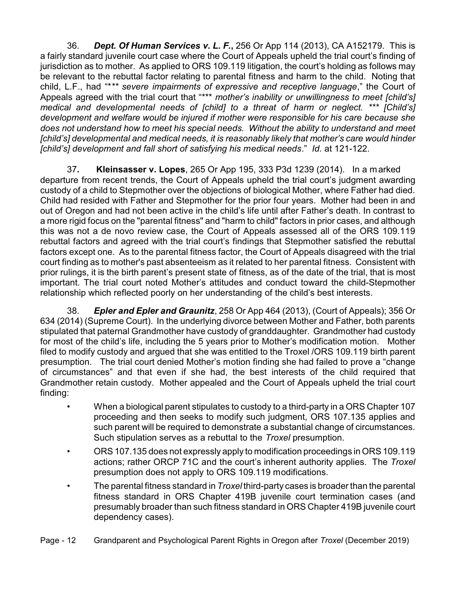36. *Dept. Of Human Services v. L. F.***,** 256 Or App 114 (2013), CA A152179. This is a fairly standard juvenile court case where the Court of Appeals upheld the trial court's finding of jurisdiction as to mother. As applied to ORS 109.119 litigation, the court's holding as follows may be relevant to the rebuttal factor relating to parental fitness and harm to the child. Noting that child, L.F., had "\**\*\* severe impairments of expressive and receptive language*," the Court of Appeals agreed with the trial court that "\*\*\* *mother's inability or unwillingness to meet [child's] medical and developmental needs of [child] to a threat of harm or neglect. \*\*\* [Child's] development and welfare would be injured if mother were responsible for his care because she does not understand how to meet his special needs. Without the ability to understand and meet [child's] developmental and medical needs, it is reasonably likely that mother's care would hinder [child's] development and fall short of satisfying his medical needs*." *Id.* at 121-122.

37**. Kleinsasser v. Lopes**, 265 Or App 195, 333 P3d 1239 (2014). In a marked departure from recent trends, the Court of Appeals upheld the trial court's judgment awarding custody of a child to Stepmother over the objections of biological Mother, where Father had died. Child had resided with Father and Stepmother for the prior four years. Mother had been in and out of Oregon and had not been active in the child's life until after Father's death. In contrast to a more rigid focus on the "parental fitness" and "harm to child" factors in prior cases, and although this was not a de novo review case, the Court of Appeals assessed all of the ORS 109.119 rebuttal factors and agreed with the trial court's findings that Stepmother satisfied the rebuttal factors except one. As to the parental fitness factor, the Court of Appeals disagreed with the trial court finding as to mother's past absenteeism as it related to her parental fitness. Consistent with prior rulings, it is the birth parent's present state of fitness, as of the date of the trial, that is most important. The trial court noted Mother's attitudes and conduct toward the child-Stepmother relationship which reflected poorly on her understanding of the child's best interests.

38. *Epler and Epler and Graunitz*, 258 Or App 464 (2013), (Court of Appeals); 356 Or 634 (2014) (Supreme Court). In the underlying divorce between Mother and Father, both parents stipulated that paternal Grandmother have custody of granddaughter. Grandmother had custody for most of the child's life, including the 5 years prior to Mother's modification motion. Mother filed to modify custody and argued that she was entitled to the Troxel /ORS 109.119 birth parent presumption. The trial court denied Mother's motion finding she had failed to prove a "change of circumstances" and that even if she had, the best interests of the child required that Grandmother retain custody. Mother appealed and the Court of Appeals upheld the trial court finding:

- When a biological parent stipulates to custody to a third-party in a ORS Chapter 107 proceeding and then seeks to modify such judgment, ORS 107.135 applies and such parent will be required to demonstrate a substantial change of circumstances. Such stipulation serves as a rebuttal to the *Troxel* presumption.
- ORS 107.135 does not expressly apply to modification proceedings in ORS 109.119 actions; rather ORCP 71C and the court's inherent authority applies. The *Troxel* presumption does not apply to ORS 109.119 modifications.
- The parental fitness standard in *Troxel* third-party cases is broader than the parental fitness standard in ORS Chapter 419B juvenile court termination cases (and presumably broader than such fitness standard in ORS Chapter 419B juvenile court dependency cases).

Page - 12 Grandparent and Psychological Parent Rights in Oregon after *Troxel* (December 2019)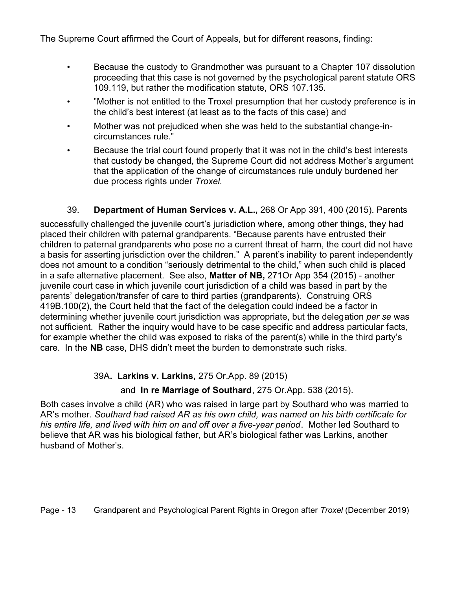The Supreme Court affirmed the Court of Appeals, but for different reasons, finding:

- Because the custody to Grandmother was pursuant to a Chapter 107 dissolution proceeding that this case is not governed by the psychological parent statute ORS 109.119, but rather the modification statute, ORS 107.135.
- "Mother is not entitled to the Troxel presumption that her custody preference is in the child's best interest (at least as to the facts of this case) and
- Mother was not prejudiced when she was held to the substantial change-incircumstances rule."
- Because the trial court found properly that it was not in the child's best interests that custody be changed, the Supreme Court did not address Mother's argument that the application of the change of circumstances rule unduly burdened her due process rights under *Troxel.*

## 39. **Department of Human Services v. A.L.,** 268 Or App 391, 400 (2015). Parents

successfully challenged the juvenile court's jurisdiction where, among other things, they had placed their children with paternal grandparents. "Because parents have entrusted their children to paternal grandparents who pose no a current threat of harm, the court did not have a basis for asserting jurisdiction over the children." A parent's inability to parent independently does not amount to a condition "seriously detrimental to the child," when such child is placed in a safe alternative placement. See also, **Matter of NB,** 271Or App 354 (2015) - another juvenile court case in which juvenile court jurisdiction of a child was based in part by the parents' delegation/transfer of care to third parties (grandparents). Construing ORS 419B.100(2), the Court held that the fact of the delegation could indeed be a factor in determining whether juvenile court jurisdiction was appropriate, but the delegation *per se* was not sufficient. Rather the inquiry would have to be case specific and address particular facts, for example whether the child was exposed to risks of the parent(s) while in the third party's care. In the **NB** case, DHS didn't meet the burden to demonstrate such risks.

## 39A**. Larkins v. Larkins,** 275 Or.App. 89 (2015)

## and **In re Marriage of Southard**, 275 Or.App. 538 (2015).

Both cases involve a child (AR) who was raised in large part by Southard who was married to AR's mother. *Southard had raised AR as his own child, was named on his birth certificate for his entire life, and lived with him on and off over a five-year period*. Mother led Southard to believe that AR was his biological father, but AR's biological father was Larkins, another husband of Mother's.

Page - 13 Grandparent and Psychological Parent Rights in Oregon after *Troxel* (December 2019)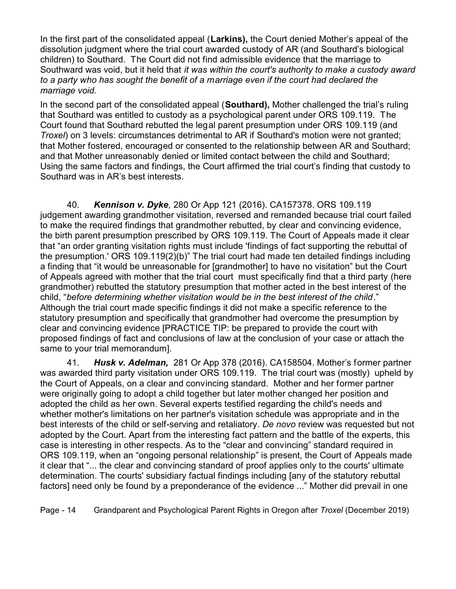In the first part of the consolidated appeal (**Larkins),** the Court denied Mother's appeal of the dissolution judgment where the trial court awarded custody of AR (and Southard's biological children) to Southard. The Court did not find admissible evidence that the marriage to Southward was void, but it held that *it was within the court's authority to make a custody award to a party who has sought the benefit of a marriage even if the court had declared the marriage void.* 

In the second part of the consolidated appeal (**Southard),** Mother challenged the trial's ruling that Southard was entitled to custody as a psychological parent under ORS 109.119. The Court found that Southard rebutted the legal parent presumption under ORS 109.119 (and *Troxel*) on 3 levels: circumstances detrimental to AR if Southard's motion were not granted; that Mother fostered, encouraged or consented to the relationship between AR and Southard; and that Mother unreasonably denied or limited contact between the child and Southard; Using the same factors and findings, the Court affirmed the trial court's finding that custody to Southard was in AR's best interests.

40. *Kennison v. Dyke,* 280 Or App 121 (2016). CA157378. ORS 109.119 judgement awarding grandmother visitation, reversed and remanded because trial court failed to make the required findings that grandmother rebutted, by clear and convincing evidence, the birth parent presumption prescribed by ORS 109.119. The Court of Appeals made it clear that "an order granting visitation rights must include 'findings of fact supporting the rebuttal of the presumption.' ORS 109.119(2)(b)" The trial court had made ten detailed findings including a finding that "it would be unreasonable for [grandmother] to have no visitation" but the Court of Appeals agreed with mother that the trial court must specifically find that a third party (here grandmother) rebutted the statutory presumption that mother acted in the best interest of the child, "*before determining whether visitation would be in the best interest of the child*." Although the trial court made specific findings it did not make a specific reference to the statutory presumption and specifically that grandmother had overcome the presumption by clear and convincing evidence [PRACTICE TIP: be prepared to provide the court with proposed findings of fact and conclusions of law at the conclusion of your case or attach the same to your trial memorandum].

41. *Husk v. Adelman,* 281 Or App 378 (2016). CA158504. Mother's former partner was awarded third party visitation under ORS 109.119. The trial court was (mostly) upheld by the Court of Appeals, on a clear and convincing standard. Mother and her former partner were originally going to adopt a child together but later mother changed her position and adopted the child as her own. Several experts testified regarding the child's needs and whether mother's limitations on her partner's visitation schedule was appropriate and in the best interests of the child or self-serving and retaliatory. *De novo* review was requested but not adopted by the Court. Apart from the interesting fact pattern and the battle of the experts, this case is interesting in other respects. As to the "clear and convincing" standard required in ORS 109.119, when an "ongoing personal relationship" is present, the Court of Appeals made it clear that "... the clear and convincing standard of proof applies only to the courts' ultimate determination. The courts' subsidiary factual findings including [any of the statutory rebuttal factors] need only be found by a preponderance of the evidence ..." Mother did prevail in one

Page - 14 Grandparent and Psychological Parent Rights in Oregon after *Troxel* (December 2019)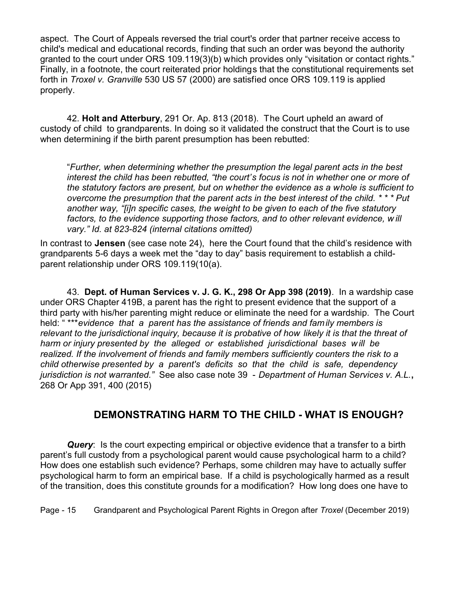aspect. The Court of Appeals reversed the trial court's order that partner receive access to child's medical and educational records, finding that such an order was beyond the authority granted to the court under ORS 109.119(3)(b) which provides only "visitation or contact rights." Finally, in a footnote, the court reiterated prior holdings that the constitutional requirements set forth in *Troxel v. Granville* 530 US 57 (2000) are satisfied once ORS 109.119 is applied properly.

42. **Holt and Atterbury**, 291 Or. Ap. 813 (2018). The Court upheld an award of custody of child to grandparents. In doing so it validated the construct that the Court is to use when determining if the birth parent presumption has been rebutted:

"*Further, when determining whether the presumption the legal parent acts in the best interest the child has been rebutted, "the court's focus is not in whether one or more of the statutory factors are present, but on whether the evidence as a whole is sufficient to overcome the presumption that the parent acts in the best interest of the child. \* \* \* Put another way, "[i]n specific cases, the weight to be given to each of the five statutory factors, to the evidence supporting those factors, and to other relevant evidence, w ill vary." Id. at 823-824 (internal citations omitted)*

In contrast to **Jensen** (see case note 24), here the Court found that the child's residence with grandparents 5-6 days a week met the "day to day" basis requirement to establish a childparent relationship under ORS 109.119(10(a).

43. **Dept. of Human Services v. J. G. K., 298 Or App 398 (2019)**. In a wardship case under ORS Chapter 419B, a parent has the right to present evidence that the support of a third party with his/her parenting might reduce or eliminate the need for a wardship. The Court held: " \*\*\**evidence that a parent has the assistance of friends and family members is relevant to the jurisdictional inquiry, because it is probative of how likely it is that the threat of harm or injury presented by the alleged or established jurisdictional bases will be realized. If the involvement of friends and family members sufficiently counters the risk to a child otherwise presented by a parent's deficits so that the child is safe, dependency jurisdiction is not warranted."* See also case note 39 - *Department of Human Services v. A.L.***,** 268 Or App 391, 400 (2015)

## **DEMONSTRATING HARM TO THE CHILD - WHAT IS ENOUGH?**

*Query*: Is the court expecting empirical or objective evidence that a transfer to a birth parent's full custody from a psychological parent would cause psychological harm to a child? How does one establish such evidence? Perhaps, some children may have to actually suffer psychological harm to form an empirical base. If a child is psychologically harmed as a result of the transition, does this constitute grounds for a modification? How long does one have to

Page - 15 Grandparent and Psychological Parent Rights in Oregon after *Troxel* (December 2019)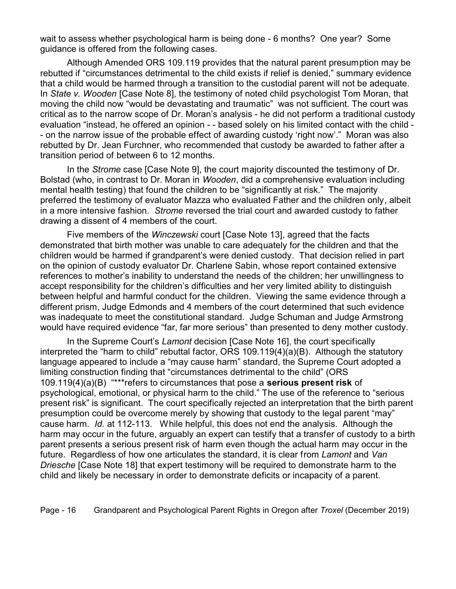wait to assess whether psychological harm is being done - 6 months? One year? Some guidance is offered from the following cases.

Although Amended ORS 109.119 provides that the natural parent presumption may be rebutted if "circumstances detrimental to the child exists if relief is denied," summary evidence that a child would be harmed through a transition to the custodial parent will not be adequate. In *State v. Wooden* [Case Note 8], the testimony of noted child psychologist Tom Moran, that moving the child now "would be devastating and traumatic" was not sufficient. The court was critical as to the narrow scope of Dr. Moran's analysis - he did not perform a traditional custody evaluation "instead, he offered an opinion - - based solely on his limited contact with the child -- on the narrow issue of the probable effect of awarding custody 'right now'." Moran was also rebutted by Dr. Jean Furchner, who recommended that custody be awarded to father after a transition period of between 6 to 12 months.

In the *Strome* case [Case Note 9], the court majority discounted the testimony of Dr. Bolstad (who, in contrast to Dr. Moran in *Wooden*, did a comprehensive evaluation including mental health testing) that found the children to be "significantly at risk." The majority preferred the testimony of evaluator Mazza who evaluated Father and the children only, albeit in a more intensive fashion. *Strome* reversed the trial court and awarded custody to father drawing a dissent of 4 members of the court.

Five members of the *Winczewski* court [Case Note 13], agreed that the facts demonstrated that birth mother was unable to care adequately for the children and that the children would be harmed if grandparent's were denied custody. That decision relied in part on the opinion of custody evaluator Dr. Charlene Sabin, whose report contained extensive references to mother's inability to understand the needs of the children; her unwillingness to accept responsibility for the children's difficulties and her very limited ability to distinguish between helpful and harmful conduct for the children. Viewing the same evidence through a different prism, Judge Edmonds and 4 members of the court determined that such evidence was inadequate to meet the constitutional standard. Judge Schuman and Judge Armstrong would have required evidence "far, far more serious" than presented to deny mother custody.

In the Supreme Court's *Lamont* decision [Case Note 16], the court specifically interpreted the "harm to child" rebuttal factor, ORS 109.119(4)(a)(B). Although the statutory language appeared to include a "may cause harm" standard, the Supreme Court adopted a limiting construction finding that "circumstances detrimental to the child" (ORS 109.119(4)(a)(B) "\*\*\*refers to circumstances that pose a **serious present risk** of psychological, emotional, or physical harm to the child." The use of the reference to "serious present risk" is significant. The court specifically rejected an interpretation that the birth parent presumption could be overcome merely by showing that custody to the legal parent "may" cause harm*. Id.* at 112-113. While helpful, this does not end the analysis. Although the harm may occur in the future, arguably an expert can testify that a transfer of custody to a birth parent presents a serious present risk of harm even though the actual harm may occur in the future. Regardless of how one articulates the standard, it is clear from *Lamont* and *Van Driesche* [Case Note 18] that expert testimony will be required to demonstrate harm to the child and likely be necessary in order to demonstrate deficits or incapacity of a parent.

Page - 16 Grandparent and Psychological Parent Rights in Oregon after *Troxel* (December 2019)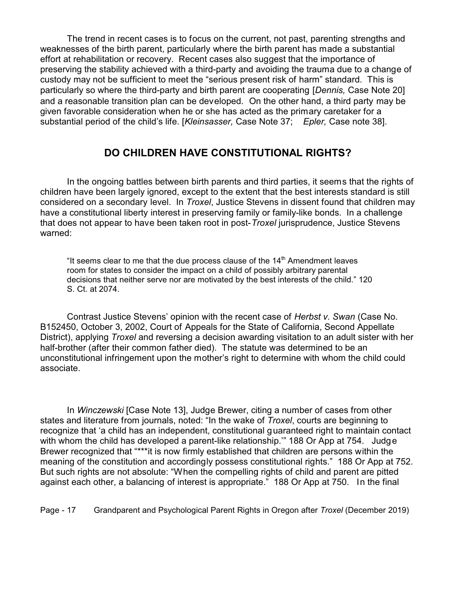The trend in recent cases is to focus on the current, not past, parenting strengths and weaknesses of the birth parent, particularly where the birth parent has made a substantial effort at rehabilitation or recovery. Recent cases also suggest that the importance of preserving the stability achieved with a third-party and avoiding the trauma due to a change of custody may not be sufficient to meet the "serious present risk of harm" standard. This is particularly so where the third-party and birth parent are cooperating [*Dennis,* Case Note 20] and a reasonable transition plan can be developed. On the other hand, a third party may be given favorable consideration when he or she has acted as the primary caretaker for a substantial period of the child's life. [*Kleinsasser,* Case Note 37; *Epler,* Case note 38].

## **DO CHILDREN HAVE CONSTITUTIONAL RIGHTS?**

In the ongoing battles between birth parents and third parties, it seems that the rights of children have been largely ignored, except to the extent that the best interests standard is still considered on a secondary level. In *Troxel*, Justice Stevens in dissent found that children may have a constitutional liberty interest in preserving family or family-like bonds. In a challenge that does not appear to have been taken root in post-*Troxel* jurisprudence, Justice Stevens warned:

"It seems clear to me that the due process clause of the  $14<sup>th</sup>$  Amendment leaves room for states to consider the impact on a child of possibly arbitrary parental decisions that neither serve nor are motivated by the best interests of the child." 120 S. Ct. at 2074.

Contrast Justice Stevens' opinion with the recent case of *Herbst v. Swan* (Case No. B152450, October 3, 2002, Court of Appeals for the State of California, Second Appellate District), applying *Troxel* and reversing a decision awarding visitation to an adult sister with her half-brother (after their common father died). The statute was determined to be an unconstitutional infringement upon the mother's right to determine with whom the child could associate.

In *Winczewski* [Case Note 13], Judge Brewer, citing a number of cases from other states and literature from journals, noted: "In the wake of *Troxel*, courts are beginning to recognize that 'a child has an independent, constitutional guaranteed right to maintain contact with whom the child has developed a parent-like relationship." 188 Or App at 754. Judge Brewer recognized that "\*\*\*it is now firmly established that children are persons within the meaning of the constitution and accordingly possess constitutional rights." 188 Or App at 752. But such rights are not absolute: "When the compelling rights of child and parent are pitted against each other, a balancing of interest is appropriate." 188 Or App at 750. In the final

Page - 17 Grandparent and Psychological Parent Rights in Oregon after *Troxel* (December 2019)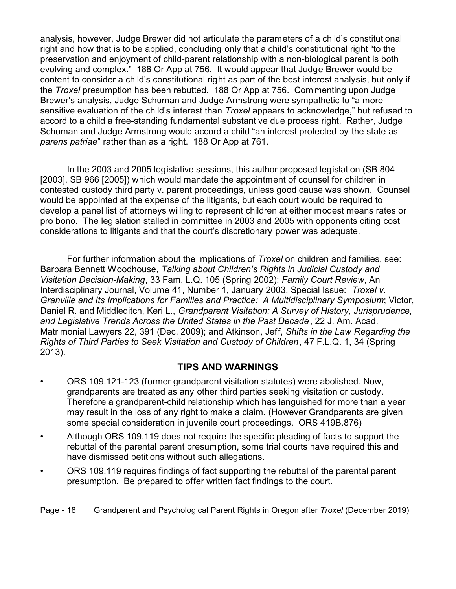analysis, however, Judge Brewer did not articulate the parameters of a child's constitutional right and how that is to be applied, concluding only that a child's constitutional right "to the preservation and enjoyment of child-parent relationship with a non-biological parent is both evolving and complex." 188 Or App at 756. It would appear that Judge Brewer would be content to consider a child's constitutional right as part of the best interest analysis, but only if the *Troxel* presumption has been rebutted. 188 Or App at 756. Commenting upon Judge Brewer's analysis, Judge Schuman and Judge Armstrong were sympathetic to "a more sensitive evaluation of the child's interest than *Troxel* appears to acknowledge," but refused to accord to a child a free-standing fundamental substantive due process right. Rather, Judge Schuman and Judge Armstrong would accord a child "an interest protected by the state as *parens patriae*" rather than as a right. 188 Or App at 761.

In the 2003 and 2005 legislative sessions, this author proposed legislation (SB 804 [2003], SB 966 [2005]) which would mandate the appointment of counsel for children in contested custody third party v. parent proceedings, unless good cause was shown. Counsel would be appointed at the expense of the litigants, but each court would be required to develop a panel list of attorneys willing to represent children at either modest means rates or pro bono. The legislation stalled in committee in 2003 and 2005 with opponents citing cost considerations to litigants and that the court's discretionary power was adequate.

For further information about the implications of *Troxel* on children and families, see: Barbara Bennett Woodhouse, *Talking about Children's Rights in Judicial Custody and Visitation Decision-Making*, 33 Fam. L.Q. 105 (Spring 2002); *Family Court Review*, An Interdisciplinary Journal, Volume 41, Number 1, January 2003, Special Issue: *Troxel v. Granville and Its Implications for Families and Practice: A Multidisciplinary Symposium*; Victor, Daniel R. and Middleditch, Keri L., *Grandparent Visitation: A Survey of History, Jurisprudence, and Legislative Trends Across the United States in the Past Decade*, 22 J. Am. Acad. Matrimonial Lawyers 22, 391 (Dec. 2009); and Atkinson, Jeff, *Shifts in the Law Regarding the Rights of Third Parties to Seek Visitation and Custody of Children*, 47 F.L.Q. 1, 34 (Spring 2013).

## **TIPS AND WARNINGS**

- ORS 109.121-123 (former grandparent visitation statutes) were abolished. Now, grandparents are treated as any other third parties seeking visitation or custody. Therefore a grandparent-child relationship which has languished for more than a year may result in the loss of any right to make a claim. (However Grandparents are given some special consideration in juvenile court proceedings. ORS 419B.876)
- Although ORS 109.119 does not require the specific pleading of facts to support the rebuttal of the parental parent presumption, some trial courts have required this and have dismissed petitions without such allegations.
- ORS 109.119 requires findings of fact supporting the rebuttal of the parental parent presumption. Be prepared to offer written fact findings to the court.

Page - 18 Grandparent and Psychological Parent Rights in Oregon after *Troxel* (December 2019)